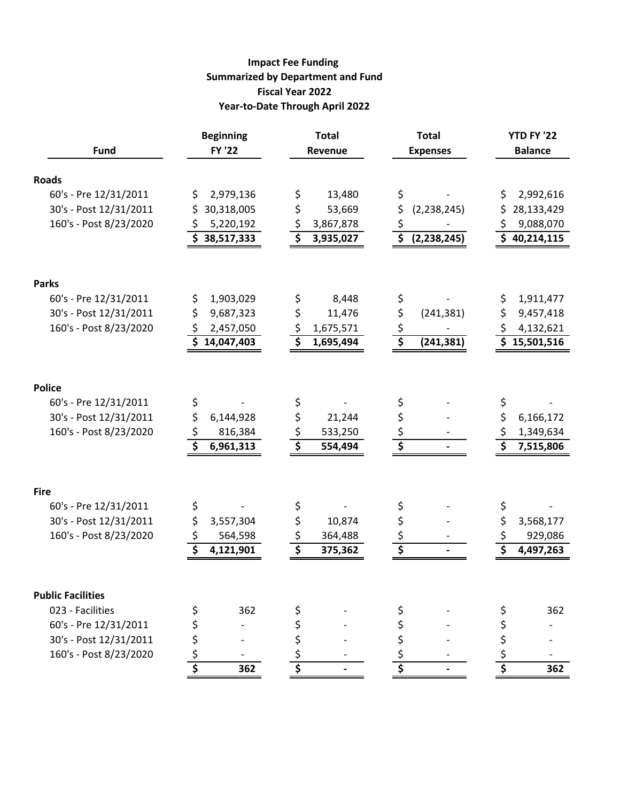#### **Impact Fee Funding Summarized by Department and Fund Fiscal Year 2022 Year-to-Date Through April 2022**

| <b>Fund</b>              | <b>Beginning</b><br><b>FY '22</b> | <b>Total</b><br>Revenue                      | <b>Total</b><br><b>Expenses</b>                  | <b>YTD FY '22</b><br><b>Balance</b> |
|--------------------------|-----------------------------------|----------------------------------------------|--------------------------------------------------|-------------------------------------|
| <b>Roads</b>             |                                   |                                              |                                                  |                                     |
| 60's - Pre 12/31/2011    | \$<br>2,979,136                   | 13,480<br>\$                                 | \$                                               | \$<br>2,992,616                     |
| 30's - Post 12/31/2011   | \$<br>30,318,005                  | \$<br>53,669                                 | \$<br>(2, 238, 245)                              | \$<br>28,133,429                    |
| 160's - Post 8/23/2020   | 5,220,192<br>\$                   | \$<br>3,867,878                              | $\zeta$                                          | 9,088,070                           |
|                          | \$38,517,333                      | $\overline{\boldsymbol{\zeta}}$<br>3,935,027 | $\overline{\boldsymbol{\zeta}}$<br>(2, 238, 245) | \$40,214,115                        |
| <b>Parks</b>             |                                   |                                              |                                                  |                                     |
| 60's - Pre 12/31/2011    | \$<br>1,903,029                   | 8,448<br>\$                                  | \$                                               | \$<br>1,911,477                     |
| 30's - Post 12/31/2011   | \$<br>9,687,323                   | \$<br>11,476                                 | \$<br>(241, 381)                                 | \$<br>9,457,418                     |
| 160's - Post 8/23/2020   | \$<br>2,457,050                   | \$<br>1,675,571                              | $\zeta$                                          | \$<br>4,132,621                     |
|                          | \$14,047,403                      | \$<br>1,695,494                              | $\overline{\boldsymbol{\xi}}$<br>(241, 381)      | \$15,501,516                        |
| <b>Police</b>            |                                   |                                              |                                                  |                                     |
| 60's - Pre 12/31/2011    | \$                                | \$                                           | \$                                               | \$                                  |
| 30's - Post 12/31/2011   | \$<br>6,144,928                   | \$<br>21,244                                 | \$                                               | \$<br>6,166,172                     |
| 160's - Post 8/23/2020   | \$<br>816,384                     | \$<br>533,250                                | \$                                               | \$<br>1,349,634                     |
|                          | \$<br>6,961,313                   | $\overline{\boldsymbol{\zeta}}$<br>554,494   | \$                                               | \$<br>7,515,806                     |
| <b>Fire</b>              |                                   |                                              |                                                  |                                     |
| 60's - Pre 12/31/2011    | \$                                | \$                                           | \$                                               | \$                                  |
| 30's - Post 12/31/2011   | \$<br>3,557,304                   | \$<br>10,874                                 | \$                                               | \$<br>3,568,177                     |
| 160's - Post 8/23/2020   | \$<br>564,598                     | \$<br>364,488                                | $\zeta$                                          | 929,086                             |
|                          | \$<br>4,121,901                   | \$<br>375,362                                | \$                                               | \$<br>4,497,263                     |
| <b>Public Facilities</b> |                                   |                                              |                                                  |                                     |
| 023 - Facilities         | \$<br>362                         |                                              | \$                                               | 362<br>\$                           |
| 60's - Pre 12/31/2011    | \$                                |                                              | \$                                               |                                     |
| 30's - Post 12/31/2011   | \$                                |                                              | \$                                               | \$                                  |
| 160's - Post 8/23/2020   | \$                                |                                              |                                                  | \$                                  |
|                          | \$<br>362                         | \$                                           | \$                                               | \$<br>362                           |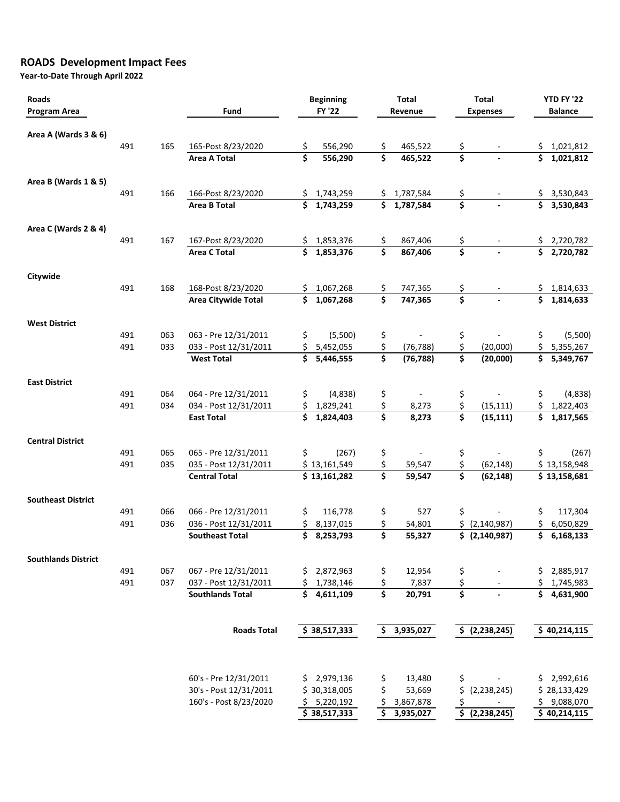### **ROADS Development Impact Fees**

| <b>Roads</b><br><b>Program Area</b> |            | Fund       | <b>Beginning</b><br><b>FY '22</b>                |           | <b>Total</b><br>Revenue   |                                       |                     | <b>Total</b><br><b>Expenses</b>       | <b>YTD FY '22</b><br><b>Balance</b> |          |                           |
|-------------------------------------|------------|------------|--------------------------------------------------|-----------|---------------------------|---------------------------------------|---------------------|---------------------------------------|-------------------------------------|----------|---------------------------|
| Area A (Wards 3 & 6)                |            |            |                                                  |           |                           |                                       |                     |                                       |                                     |          |                           |
|                                     | 491        | 165        | 165-Post 8/23/2020                               | \$        | 556,290                   | \$                                    | 465,522             | \$                                    |                                     | \$       | 1,021,812                 |
|                                     |            |            | <b>Area A Total</b>                              | \$        | 556,290                   | \$                                    | 465,522             | \$                                    |                                     | \$       | 1,021,812                 |
| Area B (Wards 1 & 5)                |            |            |                                                  |           |                           |                                       |                     |                                       |                                     |          |                           |
|                                     | 491        | 166        | 166-Post 8/23/2020                               | \$        | 1,743,259                 | \$.                                   | 1,787,584           | \$                                    |                                     | \$.      | 3,530,843                 |
|                                     |            |            | <b>Area B Total</b>                              | \$        | 1,743,259                 | \$                                    | 1,787,584           | \$                                    |                                     | \$       | 3,530,843                 |
| Area C (Wards 2 & 4)                |            |            |                                                  |           |                           |                                       |                     |                                       |                                     |          |                           |
|                                     | 491        | 167        | 167-Post 8/23/2020                               | \$.       | 1,853,376                 | \$                                    | 867,406             | \$                                    |                                     | \$       | 2,720,782                 |
|                                     |            |            | <b>Area C Total</b>                              | \$        | 1,853,376                 | \$                                    | 867,406             | $\overline{\boldsymbol{\zeta}}$       |                                     | \$       | 2,720,782                 |
| Citywide                            |            |            |                                                  |           |                           |                                       |                     |                                       |                                     |          |                           |
|                                     | 491        | 168        | 168-Post 8/23/2020                               | \$.<br>\$ | 1,067,268<br>1,067,268    | \$<br>$\overline{\boldsymbol{\zeta}}$ | 747,365             | \$<br>\$                              | $\overline{\phantom{a}}$            | \$<br>\$ | 1,814,633                 |
|                                     |            |            | <b>Area Citywide Total</b>                       |           |                           |                                       | 747,365             |                                       |                                     |          | 1,814,633                 |
| <b>West District</b>                |            |            |                                                  |           |                           |                                       |                     |                                       |                                     |          |                           |
|                                     | 491<br>491 | 063<br>033 | 063 - Pre 12/31/2011<br>033 - Post 12/31/2011    | \$        | (5,500)                   | \$                                    | (76, 788)           | \$                                    | (20,000)                            | \$<br>\$ | (5,500)                   |
|                                     |            |            | <b>West Total</b>                                | \$<br>\$  | 5,452,055<br>5,446,555    | \$<br>$\overline{\boldsymbol{\zeta}}$ | (76, 788)           | \$<br>$\overline{\boldsymbol{\zeta}}$ | (20,000)                            | \$       | 5,355,267<br>5,349,767    |
| <b>East District</b>                |            |            |                                                  |           |                           |                                       |                     |                                       |                                     |          |                           |
|                                     | 491        | 064        | 064 - Pre 12/31/2011                             | \$        | (4,838)                   | \$                                    |                     | \$                                    |                                     | \$       | (4,838)                   |
|                                     | 491        | 034        | 034 - Post 12/31/2011                            |           | 1,829,241                 | \$                                    | 8,273               | \$                                    | (15, 111)                           |          | 1,822,403                 |
|                                     |            |            | <b>East Total</b>                                | \$        | 1,824,403                 | \$                                    | 8,273               | \$                                    | (15, 111)                           | \$       | 1,817,565                 |
| <b>Central District</b>             |            |            |                                                  |           |                           |                                       |                     |                                       |                                     |          |                           |
|                                     | 491        | 065        | 065 - Pre 12/31/2011                             | \$        | (267)                     | \$                                    |                     | \$                                    |                                     | \$       | (267)                     |
|                                     | 491        | 035        | 035 - Post 12/31/2011                            |           | \$13,161,549              | \$                                    | 59,547              | \$                                    | (62, 148)                           |          | \$13,158,948              |
|                                     |            |            | <b>Central Total</b>                             |           | \$13,161,282              | \$                                    | 59,547              | \$                                    | (62, 148)                           |          | \$13,158,681              |
| <b>Southeast District</b>           |            |            |                                                  |           |                           |                                       |                     |                                       |                                     |          |                           |
|                                     | 491        | 066        | 066 - Pre 12/31/2011                             | \$        | 116,778                   | \$                                    | 527                 | \$                                    |                                     | \$       | 117,304                   |
|                                     | 491        | 036        | 036 - Post 12/31/2011                            | \$        | 8,137,015                 | \$                                    | 54,801              |                                       | \$ (2, 140, 987)                    | \$       | 6,050,829                 |
|                                     |            |            | <b>Southeast Total</b>                           | \$        | 8,253,793                 | $\overline{\boldsymbol{\zeta}}$       | 55,327              |                                       | \$ (2, 140, 987)                    |          | \$6,168,133               |
| <b>Southlands District</b>          |            |            |                                                  |           |                           |                                       |                     |                                       |                                     |          |                           |
|                                     | 491        | 067        | 067 - Pre 12/31/2011                             | S.        | 2,872,963                 | \$                                    | 12,954              | \$                                    |                                     |          | 2,885,917                 |
|                                     | 491        | 037        | 037 - Post 12/31/2011                            | \$.       | 1,738,146                 | \$                                    | 7,837               | \$                                    |                                     |          | 1,745,983                 |
|                                     |            |            | <b>Southlands Total</b>                          |           | \$4,611,109               | \$                                    | 20,791              | \$                                    |                                     | \$       | 4,631,900                 |
|                                     |            |            | <b>Roads Total</b>                               |           | \$38,517,333              |                                       | \$3,935,027         |                                       | \$ (2,238,245)                      |          | \$40,214,115              |
|                                     |            |            |                                                  |           |                           |                                       |                     |                                       |                                     |          |                           |
|                                     |            |            | 60's - Pre 12/31/2011                            |           | \$2,979,136               | \$                                    | 13,480              | \$                                    |                                     |          | 2,992,616                 |
|                                     |            |            | 30's - Post 12/31/2011<br>160's - Post 8/23/2020 | \$.       | \$30,318,005<br>5,220,192 | \$                                    | 53,669<br>3,867,878 | \$<br>\$                              | (2, 238, 245)                       | \$       | \$28,133,429<br>9,088,070 |
|                                     |            |            |                                                  |           | \$38,517,333              | \$                                    | 3,935,027           |                                       | \$ (2,238,245)                      |          | \$40,214,115              |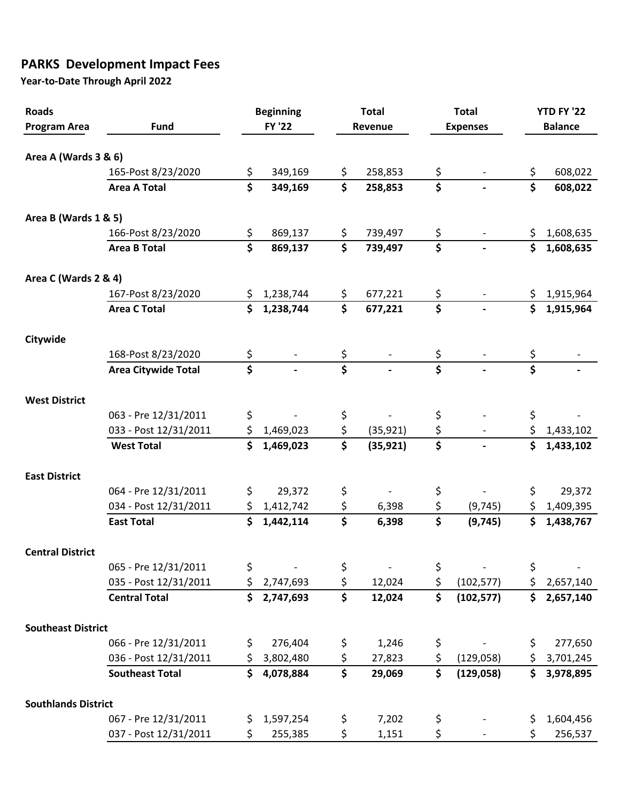## **PARKS Development Impact Fees**

| <b>Roads</b>               |                            | <b>Beginning</b>                     |               |                                 | <b>Total</b> |          | <b>Total</b>    | <b>YTD FY '22</b>       |                |  |
|----------------------------|----------------------------|--------------------------------------|---------------|---------------------------------|--------------|----------|-----------------|-------------------------|----------------|--|
| <b>Program Area</b>        | <b>Fund</b>                |                                      | <b>FY '22</b> |                                 | Revenue      |          | <b>Expenses</b> |                         | <b>Balance</b> |  |
|                            |                            |                                      |               |                                 |              |          |                 |                         |                |  |
| Area A (Wards 3 & 6)       |                            |                                      |               |                                 |              |          |                 |                         |                |  |
|                            | 165-Post 8/23/2020         | \$                                   | 349,169       | \$                              | 258,853      | \$       |                 | \$                      | 608,022        |  |
|                            | <b>Area A Total</b>        | $\overline{\boldsymbol{\zeta}}$      | 349,169       | \$                              | 258,853      | \$       |                 | \$                      | 608,022        |  |
| Area B (Wards 1 & 5)       |                            |                                      |               |                                 |              |          |                 |                         |                |  |
|                            | 166-Post 8/23/2020         | \$                                   | 869,137       | \$                              | 739,497      | \$       |                 |                         | 1,608,635      |  |
|                            | <b>Area B Total</b>        | $\overline{\boldsymbol{\zeta}}$      | 869,137       | $\overline{\mathsf{s}}$         | 739,497      | \$       |                 | \$<br>\$                | 1,608,635      |  |
|                            |                            |                                      |               |                                 |              |          |                 |                         |                |  |
| Area C (Wards 2 & 4)       |                            |                                      |               |                                 |              |          |                 |                         |                |  |
|                            | 167-Post 8/23/2020         |                                      | 1,238,744     |                                 | 677,221      | \$       |                 |                         | 1,915,964      |  |
|                            | <b>Area C Total</b>        | \$                                   | 1,238,744     | $\overline{\mathsf{s}}$         | 677,221      | \$       |                 | \$                      | 1,915,964      |  |
| Citywide                   |                            |                                      |               |                                 |              |          |                 |                         |                |  |
|                            | 168-Post 8/23/2020         | \$                                   |               |                                 |              |          |                 |                         |                |  |
|                            | <b>Area Citywide Total</b> | $\overline{\boldsymbol{\mathsf{s}}}$ |               | $\overline{\mathsf{s}}$         |              | \$       |                 | $\overline{\mathsf{s}}$ |                |  |
| <b>West District</b>       |                            |                                      |               |                                 |              |          |                 |                         |                |  |
|                            | 063 - Pre 12/31/2011       | \$                                   |               | \$                              |              | \$       |                 | \$                      |                |  |
|                            | 033 - Post 12/31/2011      | \$                                   | 1,469,023     | \$                              | (35, 921)    | \$       |                 | \$                      | 1,433,102      |  |
|                            | <b>West Total</b>          | \$                                   | 1,469,023     | $\overline{\mathsf{s}}$         | (35, 921)    | \$       |                 | \$                      | 1,433,102      |  |
| <b>East District</b>       |                            |                                      |               |                                 |              |          |                 |                         |                |  |
|                            | 064 - Pre 12/31/2011       | \$                                   | 29,372        | \$                              |              | \$       |                 | \$                      | 29,372         |  |
|                            | 034 - Post 12/31/2011      | \$                                   | 1,412,742     | \$                              | 6,398        | \$       | (9, 745)        | \$                      | 1,409,395      |  |
|                            | <b>East Total</b>          | Ś                                    | 1,442,114     | \$                              | 6,398        | \$       | (9, 745)        | \$                      | 1,438,767      |  |
| <b>Central District</b>    |                            |                                      |               |                                 |              |          |                 |                         |                |  |
|                            | 065 - Pre 12/31/2011       | \$                                   |               | \$                              |              | \$       |                 | \$                      |                |  |
|                            | 035 - Post 12/31/2011      | \$                                   | 2,747,693     | \$                              | 12,024       | \$       | (102, 577)      | \$                      | 2,657,140      |  |
|                            | <b>Central Total</b>       | \$                                   | 2,747,693     | $\overline{\boldsymbol{\zeta}}$ | 12,024       | \$       | (102, 577)      | \$                      | 2,657,140      |  |
|                            |                            |                                      |               |                                 |              |          |                 |                         |                |  |
| <b>Southeast District</b>  | 066 - Pre 12/31/2011       | \$                                   | 276,404       |                                 | 1,246        |          |                 | \$                      | 277,650        |  |
|                            | 036 - Post 12/31/2011      | \$                                   | 3,802,480     | \$<br>\$                        | 27,823       | \$<br>\$ | (129,058)       | \$                      | 3,701,245      |  |
|                            | <b>Southeast Total</b>     | \$                                   | 4,078,884     | \$                              | 29,069       | \$       | (129, 058)      | \$                      | 3,978,895      |  |
|                            |                            |                                      |               |                                 |              |          |                 |                         |                |  |
| <b>Southlands District</b> |                            |                                      |               |                                 |              |          |                 |                         |                |  |
|                            | 067 - Pre 12/31/2011       | \$                                   | 1,597,254     | \$                              | 7,202        | \$       |                 | \$                      | 1,604,456      |  |
|                            | 037 - Post 12/31/2011      | \$                                   | 255,385       | \$                              | 1,151        | \$       |                 | \$                      | 256,537        |  |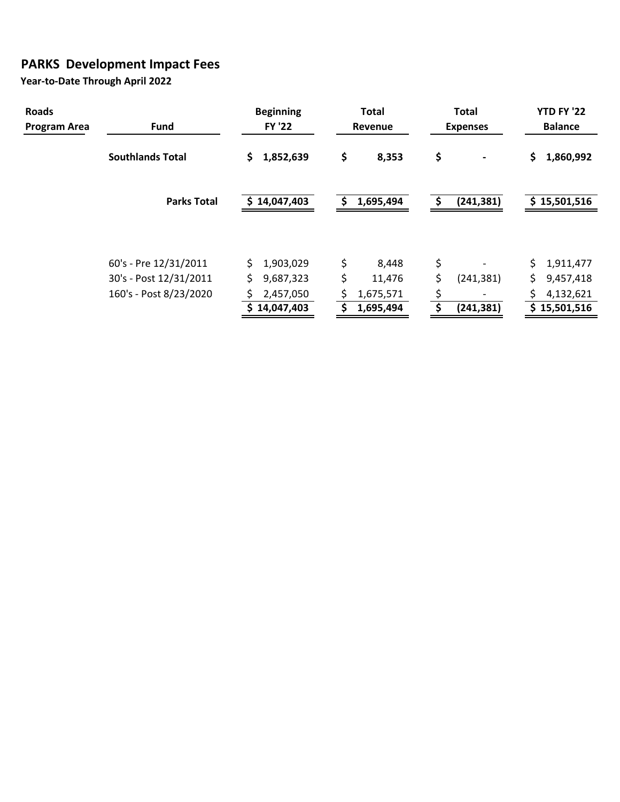## **PARKS Development Impact Fees**

| <b>Roads</b><br>Program Area | <b>Fund</b>             | <b>Beginning</b><br><b>FY '22</b> | <b>Total</b><br><b>Revenue</b> | <b>Total</b><br><b>Expenses</b> | <b>YTD FY '22</b><br><b>Balance</b> |
|------------------------------|-------------------------|-----------------------------------|--------------------------------|---------------------------------|-------------------------------------|
|                              | <b>Southlands Total</b> | 1,852,639<br>Ş.                   | \$<br>8,353                    | \$                              | \$<br>1,860,992                     |
|                              | <b>Parks Total</b>      | \$14,047,403                      | 1,695,494<br>S.                | (241, 381)                      | \$15,501,516                        |
|                              | 60's - Pre 12/31/2011   | 1,903,029                         | \$<br>8,448                    | \$                              | 1,911,477                           |
|                              | 30's - Post 12/31/2011  | 9,687,323                         | \$<br>11,476                   | \$<br>(241, 381)                | \$<br>9,457,418                     |
|                              | 160's - Post 8/23/2020  | 2,457,050                         | 1,675,571                      | \$                              | 4,132,621                           |
|                              |                         | 14,047,403                        | 1,695,494<br>\$                | (241, 381)                      | \$15,501,516                        |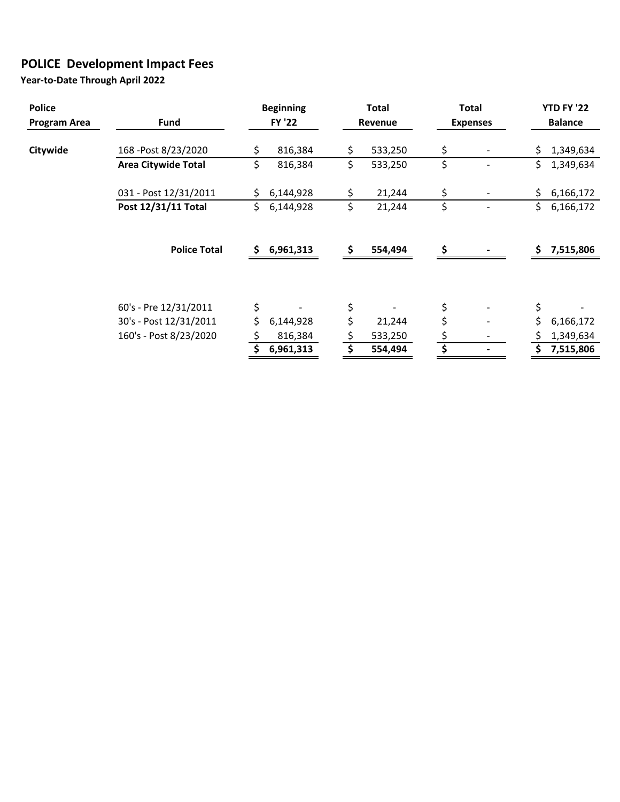## **POLICE Development Impact Fees**

| <b>Police</b><br>Program Area | <b>Fund</b>                | <b>Beginning</b><br><b>FY '22</b> |           |     | <b>Total</b><br>Revenue | <b>Total</b><br><b>Expenses</b> | <b>YTD FY '22</b><br><b>Balance</b> |           |  |
|-------------------------------|----------------------------|-----------------------------------|-----------|-----|-------------------------|---------------------------------|-------------------------------------|-----------|--|
|                               |                            |                                   |           |     |                         |                                 |                                     |           |  |
| Citywide                      | 168 - Post 8/23/2020       | \$                                | 816,384   | \$  | 533,250                 | \$                              | \$                                  | 1,349,634 |  |
|                               | <b>Area Citywide Total</b> | \$                                | 816,384   | \$  | 533,250                 | \$                              | \$                                  | 1,349,634 |  |
|                               | 031 - Post 12/31/2011      | Ś.                                | 6,144,928 | \$  | 21,244                  | \$                              | \$                                  | 6,166,172 |  |
|                               | Post 12/31/11 Total        | \$                                | 6,144,928 | \$  | 21,244                  | \$                              | \$                                  | 6,166,172 |  |
|                               | <b>Police Total</b>        | S                                 | 6,961,313 | \$. | 554,494                 | \$                              | Ŝ.                                  | 7,515,806 |  |
|                               |                            |                                   |           |     |                         |                                 |                                     |           |  |
|                               | 60's - Pre 12/31/2011      | \$                                |           | \$  |                         | \$                              | \$                                  |           |  |
|                               | 30's - Post 12/31/2011     | \$                                | 6,144,928 | \$  | 21,244                  | \$                              | \$                                  | 6,166,172 |  |
|                               | 160's - Post 8/23/2020     |                                   | 816,384   | \$  | 533,250                 |                                 | S                                   | 1,349,634 |  |
|                               |                            |                                   | 6,961,313 |     | 554,494                 |                                 |                                     | 7,515,806 |  |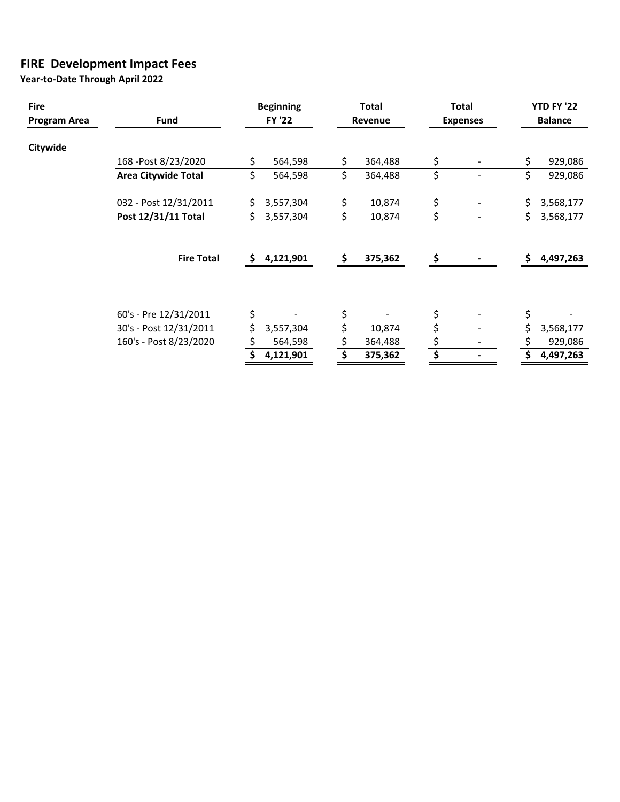#### **FIRE Development Impact Fees**

| <b>Fire</b>  |                            | <b>Beginning</b> |               |    | <b>Total</b> |    | <b>Total</b>    | <b>YTD FY '22</b><br><b>Balance</b> |           |  |
|--------------|----------------------------|------------------|---------------|----|--------------|----|-----------------|-------------------------------------|-----------|--|
| Program Area | Fund                       |                  | <b>FY '22</b> |    | Revenue      |    | <b>Expenses</b> |                                     |           |  |
|              |                            |                  |               |    |              |    |                 |                                     |           |  |
| Citywide     |                            |                  |               |    |              |    |                 |                                     |           |  |
|              | 168 - Post 8/23/2020       |                  | 564,598       | \$ | 364,488      | \$ |                 | \$                                  | 929,086   |  |
|              | <b>Area Citywide Total</b> | \$               | 564,598       | \$ | 364,488      | \$ |                 | \$                                  | 929,086   |  |
|              |                            |                  |               |    |              |    |                 |                                     |           |  |
|              | 032 - Post 12/31/2011      |                  | 3,557,304     | \$ | 10,874       | \$ |                 | \$                                  | 3,568,177 |  |
|              | Post 12/31/11 Total        | Ś.               | 3,557,304     | \$ | 10,874       | \$ |                 | \$                                  | 3,568,177 |  |
|              |                            |                  |               |    |              |    |                 |                                     |           |  |
|              | <b>Fire Total</b>          | S                | 4,121,901     | \$ | 375,362      | Ŝ. |                 | Ŝ.                                  | 4,497,263 |  |
|              |                            |                  |               |    |              |    |                 |                                     |           |  |
|              | 60's - Pre 12/31/2011      | \$               |               | \$ |              | \$ |                 | \$                                  |           |  |
|              | 30's - Post 12/31/2011     |                  | 3,557,304     | \$ | 10,874       | \$ |                 | \$                                  | 3,568,177 |  |
|              | 160's - Post 8/23/2020     |                  | 564,598       |    | 364,488      |    |                 |                                     | 929,086   |  |
|              |                            |                  | 4,121,901     |    | 375,362      |    |                 |                                     | 4,497,263 |  |
|              |                            |                  |               |    |              |    |                 |                                     |           |  |